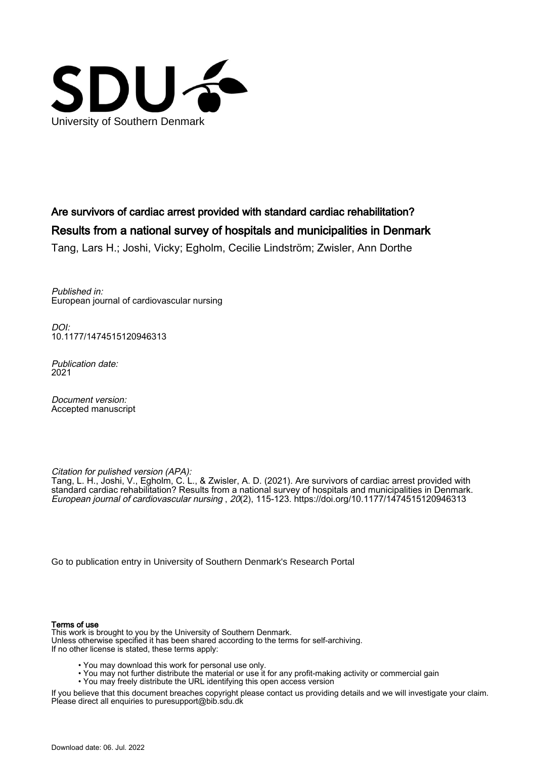

# Are survivors of cardiac arrest provided with standard cardiac rehabilitation? Results from a national survey of hospitals and municipalities in Denmark

Tang, Lars H.; Joshi, Vicky; Egholm, Cecilie Lindström; Zwisler, Ann Dorthe

Published in: European journal of cardiovascular nursing

DOI: [10.1177/1474515120946313](https://doi.org/10.1177/1474515120946313)

Publication date: 2021

Document version: Accepted manuscript

Citation for pulished version (APA):

Tang, L. H., Joshi, V., Egholm, C. L., & Zwisler, A. D. (2021). Are survivors of cardiac arrest provided with standard cardiac rehabilitation? Results from a national survey of hospitals and municipalities in Denmark. European journal of cardiovascular nursing , 20(2), 115-123.<https://doi.org/10.1177/1474515120946313>

[Go to publication entry in University of Southern Denmark's Research Portal](https://portal.findresearcher.sdu.dk/en/publications/ef49c563-69a6-42fb-ab5b-4781dcdd6c7c)

#### Terms of use

This work is brought to you by the University of Southern Denmark. Unless otherwise specified it has been shared according to the terms for self-archiving. If no other license is stated, these terms apply:

- You may download this work for personal use only.
- You may not further distribute the material or use it for any profit-making activity or commercial gain
- You may freely distribute the URL identifying this open access version

If you believe that this document breaches copyright please contact us providing details and we will investigate your claim. Please direct all enquiries to puresupport@bib.sdu.dk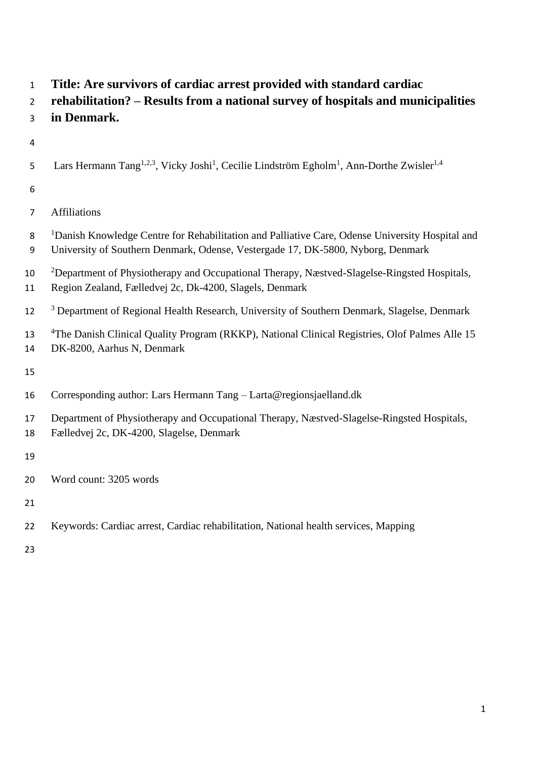- **Title: Are survivors of cardiac arrest provided with standard cardiac**
- **rehabilitation? – Results from a national survey of hospitals and municipalities**
- **in Denmark.**
- 
- 5 Lars Hermann Tang<sup>1,2,3</sup>, Vicky Joshi<sup>1</sup>, Cecilie Lindström Egholm<sup>1</sup>, Ann-Dorthe Zwisler<sup>1,4</sup>
- 

## Affiliations

- 8 <sup>1</sup>Danish Knowledge Centre for Rehabilitation and Palliative Care, Odense University Hospital and
- University of Southern Denmark, Odense, Vestergade 17, DK-5800, Nyborg, Denmark
- <sup>2</sup>Department of Physiotherapy and Occupational Therapy, Næstved-Slagelse-Ringsted Hospitals, Region Zealand, Fælledvej 2c, Dk-4200, Slagels, Denmark
- <sup>3</sup> Department of Regional Health Research, University of Southern Denmark, Slagelse, Denmark
- 13 <sup>4</sup>The Danish Clinical Quality Program (RKKP), National Clinical Registries, Olof Palmes Alle 15 DK-8200, Aarhus N, Denmark
- 
- Corresponding author: Lars Hermann Tang Larta@regionsjaelland.dk
- Department of Physiotherapy and Occupational Therapy, Næstved-Slagelse-Ringsted Hospitals,
- Fælledvej 2c, DK-4200, Slagelse, Denmark
- 
- Word count: 3205 words
- 
- Keywords: Cardiac arrest, Cardiac rehabilitation, National health services, Mapping
-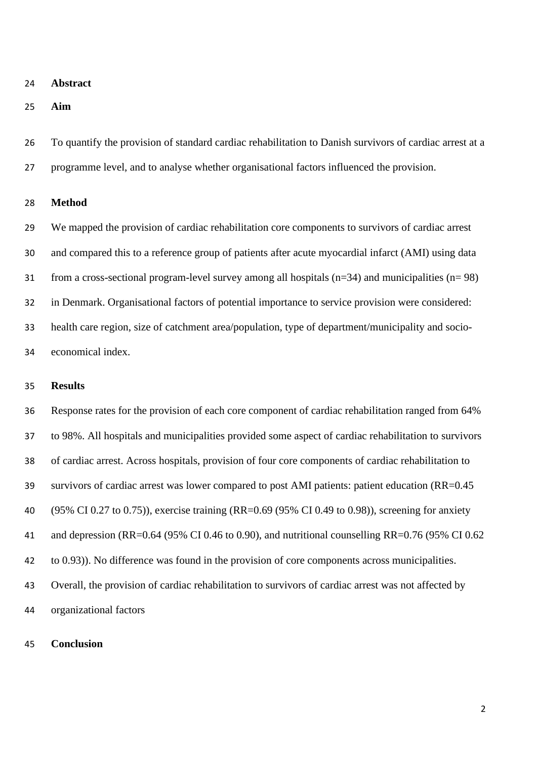#### **Abstract**

**Aim**

 To quantify the provision of standard cardiac rehabilitation to Danish survivors of cardiac arrest at a programme level, and to analyse whether organisational factors influenced the provision.

**Method**

 We mapped the provision of cardiac rehabilitation core components to survivors of cardiac arrest and compared this to a reference group of patients after acute myocardial infarct (AMI) using data from a cross-sectional program-level survey among all hospitals (n=34) and municipalities (n= 98) in Denmark. Organisational factors of potential importance to service provision were considered: health care region, size of catchment area/population, type of department/municipality and socio-economical index.

### **Results**

 Response rates for the provision of each core component of cardiac rehabilitation ranged from 64% to 98%. All hospitals and municipalities provided some aspect of cardiac rehabilitation to survivors of cardiac arrest. Across hospitals, provision of four core components of cardiac rehabilitation to survivors of cardiac arrest was lower compared to post AMI patients: patient education (RR=0.45 (95% CI 0.27 to 0.75)), exercise training (RR=0.69 (95% CI 0.49 to 0.98)), screening for anxiety and depression (RR=0.64 (95% CI 0.46 to 0.90), and nutritional counselling RR=0.76 (95% CI 0.62 to 0.93)). No difference was found in the provision of core components across municipalities. Overall, the provision of cardiac rehabilitation to survivors of cardiac arrest was not affected by organizational factors

#### **Conclusion**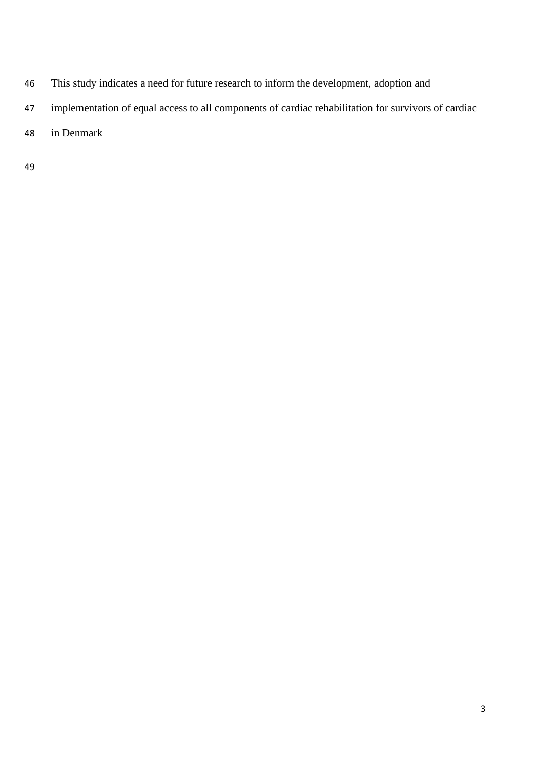- This study indicates a need for future research to inform the development, adoption and
- implementation of equal access to all components of cardiac rehabilitation for survivors of cardiac
- in Denmark
-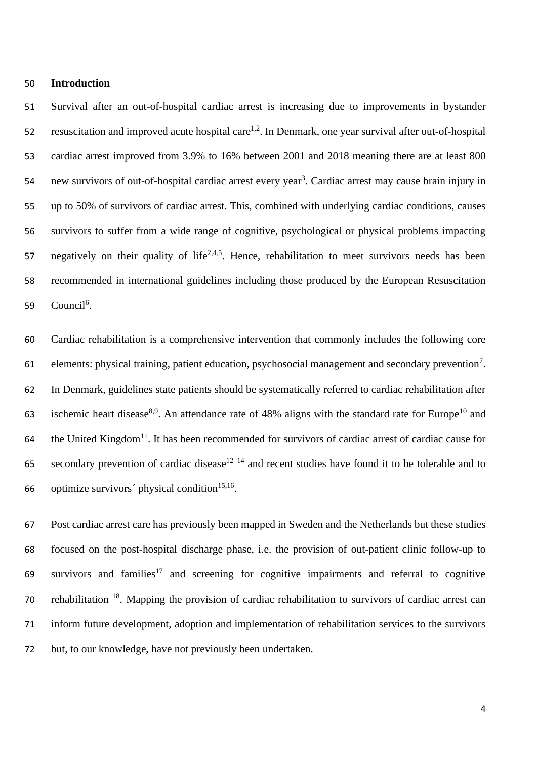#### **Introduction**

 Survival after an out-of-hospital cardiac arrest is increasing due to improvements in bystander 52 resuscitation and improved acute hospital care<sup>1,2</sup>. In Denmark, one year survival after out-of-hospital cardiac arrest improved from 3.9% to 16% between 2001 and 2018 meaning there are at least 800 54 new survivors of out-of-hospital cardiac arrest every year<sup>3</sup>. Cardiac arrest may cause brain injury in up to 50% of survivors of cardiac arrest. This, combined with underlying cardiac conditions, causes survivors to suffer from a wide range of cognitive, psychological or physical problems impacting 57 negatively on their quality of life<sup>2,4,5</sup>. Hence, rehabilitation to meet survivors needs has been recommended in international guidelines including those produced by the European Resuscitation 59 Council<sup>6</sup>.

 Cardiac rehabilitation is a comprehensive intervention that commonly includes the following core 61 elements: physical training, patient education, psychosocial management and secondary prevention<sup>7</sup>. In Denmark, guidelines state patients should be systematically referred to cardiac rehabilitation after 63 ischemic heart disease<sup>8,9</sup>. An attendance rate of 48% aligns with the standard rate for Europe<sup>10</sup> and the United Kingdom<sup>11</sup>. It has been recommended for survivors of cardiac arrest of cardiac cause for secondary prevention of cardiac disease<sup>12–14</sup> and recent studies have found it to be tolerable and to 66 . optimize survivors' physical condition<sup>15,16</sup>.

 Post cardiac arrest care has previously been mapped in Sweden and the Netherlands but these studies focused on the post-hospital discharge phase, i.e. the provision of out-patient clinic follow-up to  $\epsilon$  survivors and families<sup>17</sup> and screening for cognitive impairments and referral to cognitive 70 rehabilitation . Mapping the provision of cardiac rehabilitation to survivors of cardiac arrest can inform future development, adoption and implementation of rehabilitation services to the survivors but, to our knowledge, have not previously been undertaken.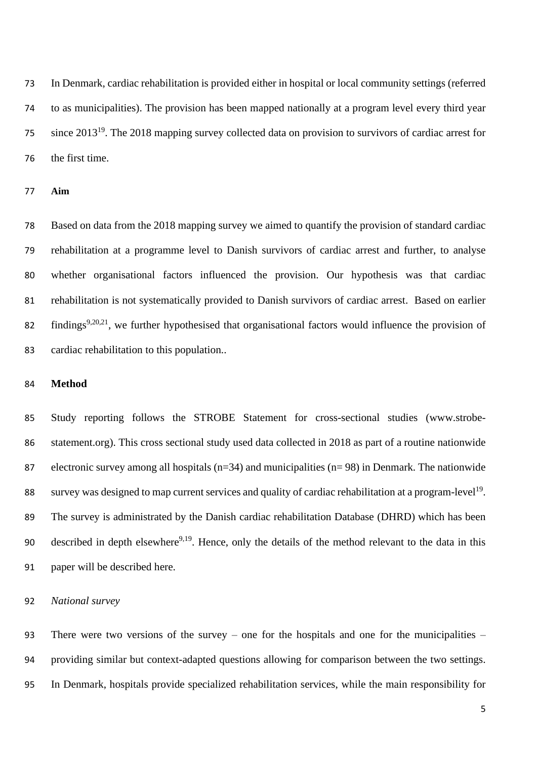In Denmark, cardiac rehabilitation is provided either in hospital or local community settings (referred to as municipalities). The provision has been mapped nationally at a program level every third year since 2013<sup>19</sup> . The 2018 mapping survey collected data on provision to survivors of cardiac arrest for the first time.

#### **Aim**

 Based on data from the 2018 mapping survey we aimed to quantify the provision of standard cardiac rehabilitation at a programme level to Danish survivors of cardiac arrest and further, to analyse whether organisational factors influenced the provision. Our hypothesis was that cardiac rehabilitation is not systematically provided to Danish survivors of cardiac arrest. Based on earlier 82 findings<sup>9,20,21</sup>, we further hypothesised that organisational factors would influence the provision of cardiac rehabilitation to this population..

### **Method**

 Study reporting follows the STROBE Statement for cross-sectional studies (www.strobe- statement.org). This cross sectional study used data collected in 2018 as part of a routine nationwide electronic survey among all hospitals (n=34) and municipalities (n= 98) in Denmark. The nationwide survey was designed to map current services and quality of cardiac rehabilitation at a program-level<sup>19</sup>. The survey is administrated by the Danish cardiac rehabilitation Database (DHRD) which has been 90 described in depth elsewhere<sup>9,19</sup>. Hence, only the details of the method relevant to the data in this paper will be described here.

## *National survey*

 There were two versions of the survey – one for the hospitals and one for the municipalities – providing similar but context-adapted questions allowing for comparison between the two settings. In Denmark, hospitals provide specialized rehabilitation services, while the main responsibility for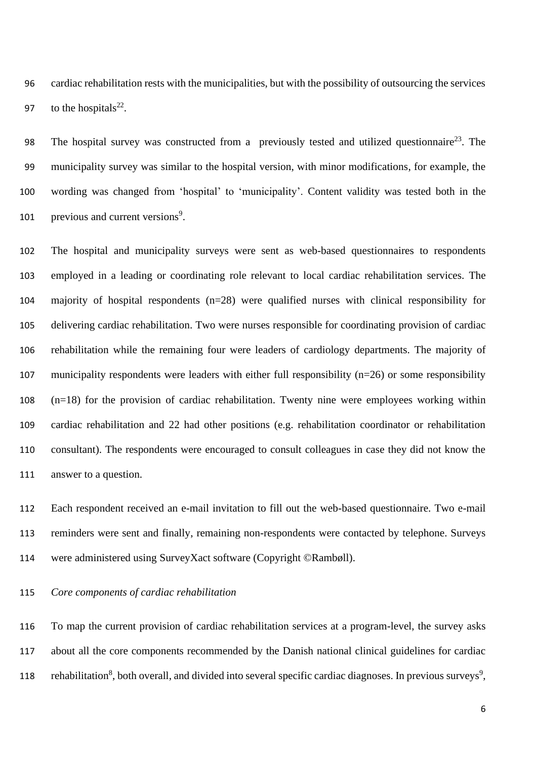cardiac rehabilitation rests with the municipalities, but with the possibility of outsourcing the services 97 to the hospitals $^{22}$ .

98 The hospital survey was constructed from a previously tested and utilized questionnaire<sup>23</sup>. The municipality survey was similar to the hospital version, with minor modifications, for example, the wording was changed from 'hospital' to 'municipality'. Content validity was tested both in the 101 previous and current versions<sup>9</sup>.

 The hospital and municipality surveys were sent as web-based questionnaires to respondents employed in a leading or coordinating role relevant to local cardiac rehabilitation services. The majority of hospital respondents (n=28) were qualified nurses with clinical responsibility for delivering cardiac rehabilitation. Two were nurses responsible for coordinating provision of cardiac rehabilitation while the remaining four were leaders of cardiology departments. The majority of municipality respondents were leaders with either full responsibility (n=26) or some responsibility (n=18) for the provision of cardiac rehabilitation. Twenty nine were employees working within cardiac rehabilitation and 22 had other positions (e.g. rehabilitation coordinator or rehabilitation consultant). The respondents were encouraged to consult colleagues in case they did not know the answer to a question.

 Each respondent received an e-mail invitation to fill out the web-based questionnaire. Two e-mail reminders were sent and finally, remaining non-respondents were contacted by telephone. Surveys were administered using SurveyXact software (Copyright ©Rambøll).

*Core components of cardiac rehabilitation*

 To map the current provision of cardiac rehabilitation services at a program-level, the survey asks about all the core components recommended by the Danish national clinical guidelines for cardiac 118 rehabilitation<sup>8</sup>, both overall, and divided into several specific cardiac diagnoses. In previous surveys<sup>9</sup>,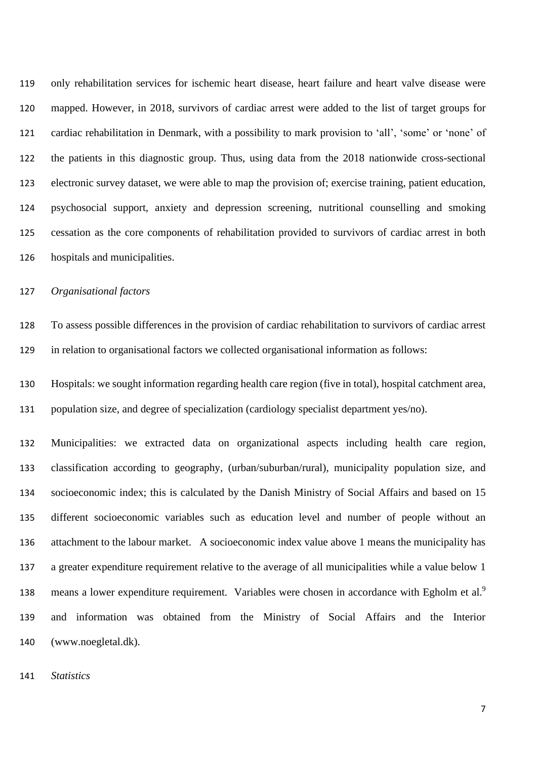only rehabilitation services for ischemic heart disease, heart failure and heart valve disease were mapped. However, in 2018, survivors of cardiac arrest were added to the list of target groups for cardiac rehabilitation in Denmark, with a possibility to mark provision to 'all', 'some' or 'none' of the patients in this diagnostic group. Thus, using data from the 2018 nationwide cross-sectional electronic survey dataset, we were able to map the provision of; exercise training, patient education, psychosocial support, anxiety and depression screening, nutritional counselling and smoking cessation as the core components of rehabilitation provided to survivors of cardiac arrest in both hospitals and municipalities.

*Organisational factors*

 To assess possible differences in the provision of cardiac rehabilitation to survivors of cardiac arrest in relation to organisational factors we collected organisational information as follows:

 Hospitals: we sought information regarding health care region (five in total), hospital catchment area, population size, and degree of specialization (cardiology specialist department yes/no).

 Municipalities: we extracted data on organizational aspects including health care region, classification according to geography, (urban/suburban/rural), municipality population size, and socioeconomic index; this is calculated by the Danish Ministry of Social Affairs and based on 15 different socioeconomic variables such as education level and number of people without an attachment to the labour market. A socioeconomic index value above 1 means the municipality has a greater expenditure requirement relative to the average of all municipalities while a value below 1 means a lower expenditure requirement. Variables were chosen in accordance with Egholm et al.<sup>9</sup> and information was obtained from the Ministry of Social Affairs and the Interior (www.noegletal.dk).

*Statistics*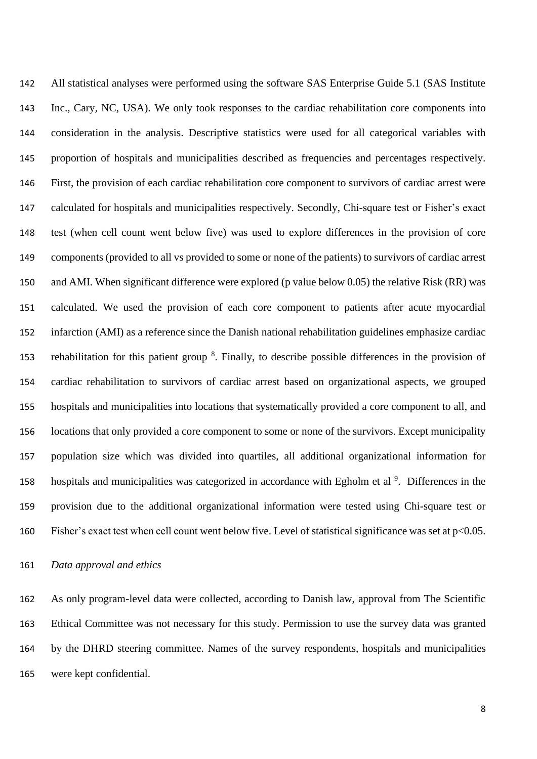All statistical analyses were performed using the software SAS Enterprise Guide 5.1 (SAS Institute Inc., Cary, NC, USA). We only took responses to the cardiac rehabilitation core components into consideration in the analysis. Descriptive statistics were used for all categorical variables with proportion of hospitals and municipalities described as frequencies and percentages respectively. First, the provision of each cardiac rehabilitation core component to survivors of cardiac arrest were calculated for hospitals and municipalities respectively. Secondly, Chi-square test or Fisher's exact test (when cell count went below five) was used to explore differences in the provision of core components (provided to all vs provided to some or none of the patients) to survivors of cardiac arrest and AMI. When significant difference were explored (p value below 0.05) the relative Risk (RR) was calculated. We used the provision of each core component to patients after acute myocardial infarction (AMI) as a reference since the Danish national rehabilitation guidelines emphasize cardiac 153 rehabilitation for this patient group<sup>8</sup>. Finally, to describe possible differences in the provision of cardiac rehabilitation to survivors of cardiac arrest based on organizational aspects, we grouped hospitals and municipalities into locations that systematically provided a core component to all, and locations that only provided a core component to some or none of the survivors. Except municipality population size which was divided into quartiles, all additional organizational information for 158 hospitals and municipalities was categorized in accordance with Egholm et al <sup>9</sup>. Differences in the provision due to the additional organizational information were tested using Chi-square test or 160 Fisher's exact test when cell count went below five. Level of statistical significance was set at  $p<0.05$ .

*Data approval and ethics*

 As only program-level data were collected, according to Danish law, approval from The Scientific Ethical Committee was not necessary for this study. Permission to use the survey data was granted by the DHRD steering committee. Names of the survey respondents, hospitals and municipalities were kept confidential.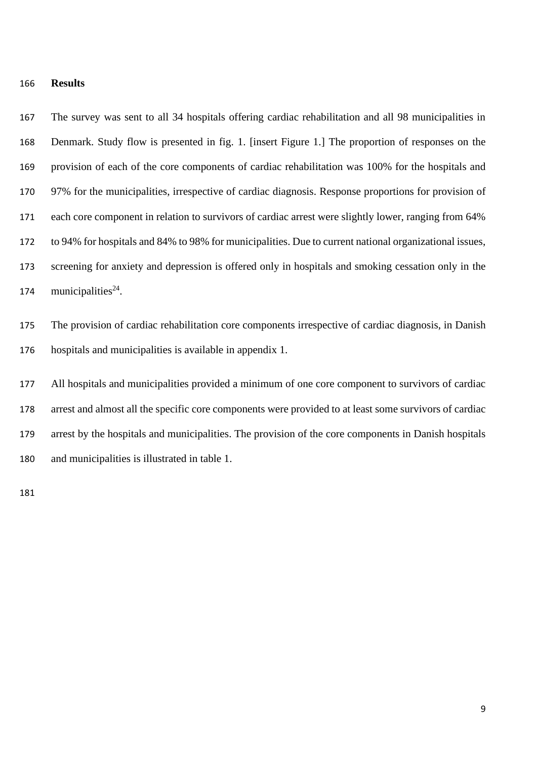#### **Results**

 The survey was sent to all 34 hospitals offering cardiac rehabilitation and all 98 municipalities in Denmark. Study flow is presented in fig. 1. [insert Figure 1.] The proportion of responses on the provision of each of the core components of cardiac rehabilitation was 100% for the hospitals and 97% for the municipalities, irrespective of cardiac diagnosis. Response proportions for provision of each core component in relation to survivors of cardiac arrest were slightly lower, ranging from 64% to 94% for hospitals and 84% to 98% for municipalities. Due to current national organizational issues, screening for anxiety and depression is offered only in hospitals and smoking cessation only in the 174 municipalities<sup>24</sup>.

 The provision of cardiac rehabilitation core components irrespective of cardiac diagnosis, in Danish hospitals and municipalities is available in appendix 1.

 All hospitals and municipalities provided a minimum of one core component to survivors of cardiac arrest and almost all the specific core components were provided to at least some survivors of cardiac arrest by the hospitals and municipalities. The provision of the core components in Danish hospitals and municipalities is illustrated in table 1.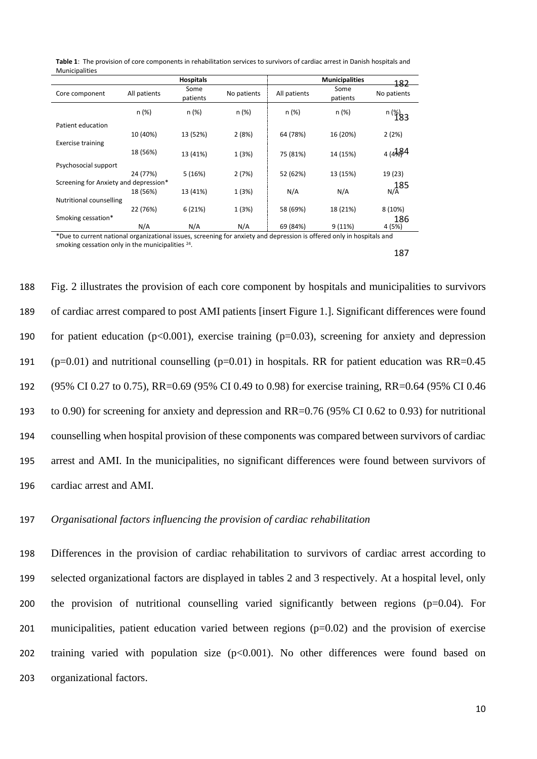|                                       |              | <b>Hospitals</b> |             | <b>Municipalities</b><br>182 |                  |                                |  |  |
|---------------------------------------|--------------|------------------|-------------|------------------------------|------------------|--------------------------------|--|--|
| Core component                        | All patients | Some<br>patients | No patients | All patients                 | Some<br>patients | No patients                    |  |  |
|                                       | n(%)         | $n (\%)$         | n(%)        | n (%)                        | $n (\%)$         | $n \binom{96}{183}$            |  |  |
| Patient education                     |              |                  |             |                              |                  |                                |  |  |
|                                       | 10 (40%)     | 13 (52%)         | 2(8%)       | 64 (78%)                     | 16 (20%)         | 2(2%)                          |  |  |
| <b>Exercise training</b>              |              |                  |             |                              |                  |                                |  |  |
|                                       | 18 (56%)     | 13 (41%)         | 1(3%)       | 75 (81%)                     | 14 (15%)         | $4(4\frac{1}{8})$ <sup>4</sup> |  |  |
| Psychosocial support                  |              |                  |             |                              |                  |                                |  |  |
|                                       | 24 (77%)     | 5(16%)           | 2(7%)       | 52 (62%)                     | 13 (15%)         | 19 (23)                        |  |  |
| Screening for Anxiety and depression* |              |                  |             |                              |                  |                                |  |  |
|                                       | 18 (56%)     | 13 (41%)         | 1(3%)       | N/A                          | N/A              | $\frac{185}{N/A}$              |  |  |
| Nutritional counselling               |              |                  |             |                              |                  |                                |  |  |
|                                       | 22 (76%)     | 6(21%)           | 1(3%)       | 58 (69%)                     | 18 (21%)         | 8(10%)                         |  |  |
| Smoking cessation*                    |              |                  |             |                              |                  | 186                            |  |  |
|                                       | N/A          | N/A              | N/A         | 69 (84%)                     | 9(11%)           | 4 (5%)                         |  |  |

**Table 1**: The provision of core components in rehabilitation services to survivors of cardiac arrest in Danish hospitals and Municipalities

\*Due to current national organizational issues, screening for anxiety and depression is offered only in hospitals and smoking cessation only in the municipalities<sup>24</sup>.

187

 Fig. 2 illustrates the provision of each core component by hospitals and municipalities to survivors of cardiac arrest compared to post AMI patients [insert Figure 1.]. Significant differences were found 190 for patient education ( $p<0.001$ ), exercise training ( $p=0.03$ ), screening for anxiety and depression 191 (p=0.01) and nutritional counselling (p=0.01) in hospitals. RR for patient education was RR=0.45 (95% CI 0.27 to 0.75), RR=0.69 (95% CI 0.49 to 0.98) for exercise training, RR=0.64 (95% CI 0.46 to 0.90) for screening for anxiety and depression and RR=0.76 (95% CI 0.62 to 0.93) for nutritional counselling when hospital provision of these components was compared between survivors of cardiac arrest and AMI. In the municipalities, no significant differences were found between survivors of cardiac arrest and AMI.

197 *Organisational factors influencing the provision of cardiac rehabilitation*

 Differences in the provision of cardiac rehabilitation to survivors of cardiac arrest according to selected organizational factors are displayed in tables 2 and 3 respectively. At a hospital level, only the provision of nutritional counselling varied significantly between regions (p=0.04). For municipalities, patient education varied between regions (p=0.02) and the provision of exercise 202 training varied with population size  $(p<0.001)$ . No other differences were found based on organizational factors.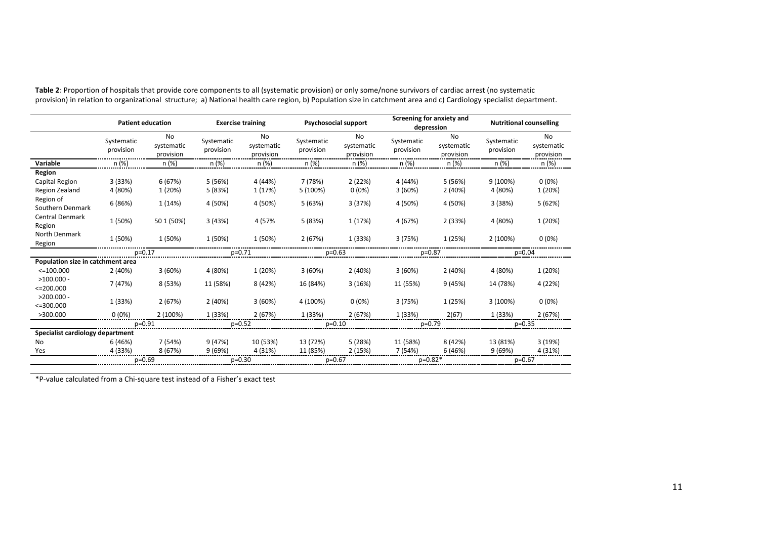|                                   | <b>Patient education</b> |                               | <b>Exercise training</b> |                                | <b>Psychosocial support</b> |                               | Screening for anxiety and<br>depression |                                      | <b>Nutritional counselling</b> |                               |
|-----------------------------------|--------------------------|-------------------------------|--------------------------|--------------------------------|-----------------------------|-------------------------------|-----------------------------------------|--------------------------------------|--------------------------------|-------------------------------|
|                                   | Systematic<br>provision  | No<br>systematic<br>provision | Systematic<br>provision  | No.<br>systematic<br>provision | Systematic<br>provision     | No<br>systematic<br>provision | Systematic<br>provision                 | <b>No</b><br>systematic<br>provision | Systematic<br>provision        | No<br>systematic<br>provision |
| Variable                          | n (%)                    | n (%)                         | n (%)                    | n (%)                          | n (%)                       | n(%)                          | n (%)                                   | n (%)                                | n (%)                          | n (%)                         |
| Region                            |                          |                               |                          |                                |                             |                               |                                         |                                      |                                |                               |
| Capital Region                    | 3 (33%)                  | 6(67%)                        | 5(56%)                   | 4 (44%)                        | 7 (78%)                     | 2(22%)                        | 4 (44%)                                 | 5(56%)                               | 9 (100%)                       | $0(0\%)$                      |
| Region Zealand                    | 4 (80%)                  | 1 (20%)                       | 5 (83%)                  | 1 (17%)                        | 5 (100%)                    | 0(0%                          | 3(60%)                                  | 2(40%)                               | 4 (80%)                        | 1 (20%)                       |
| Region of<br>Southern Denmark     | 6(86%)                   | 1(14%)                        | 4 (50%)                  | 4 (50%)                        | 5(63%)                      | 3(37%)                        | 4 (50%)                                 | 4 (50%)                              | 3(38%)                         | 5(62%)                        |
| <b>Central Denmark</b><br>Region  | 1 (50%)                  | 50 1 (50%)                    | 3(43%)                   | 4 (57%                         | 5(83%)                      | 1 (17%)                       | 4 (67%)                                 | 2(33%)                               | 4 (80%)                        | 1 (20%)                       |
| North Denmark<br>Region           | 1 (50%)                  | 1 (50%)                       | 1 (50%)                  | 1 (50%)                        | 2(67%)                      | 1 (33%)                       | 3(75%)                                  | 1 (25%)                              | 2 (100%)                       | $0(0\%)$                      |
|                                   | $p=0.17$                 |                               | p=0.71                   |                                | p=0.63                      |                               | p=0.87                                  |                                      | $p=0.04$                       |                               |
| Population size in catchment area |                          |                               |                          |                                |                             |                               |                                         |                                      |                                |                               |
| $<=100.000$                       | 2(40%)                   | 3(60%)                        | 4 (80%)                  | 1 (20%)                        | 3(60%)                      | 2(40%)                        | 3(60%)                                  | 2(40%)                               | 4 (80%)                        | 1 (20%)                       |
| $>100.000 -$<br>$<=$ 200.000      | 7 (47%)                  | 8 (53%)                       | 11 (58%)                 | 8(42%)                         | 16 (84%)                    | 3(16%)                        | 11 (55%)                                | 9(45%)                               | 14 (78%)                       | 4 (22%)                       |
| $>200.000 -$<br>$<=300.000$       | 1 (33%)                  | 2(67%)                        | 2(40%)                   | 3(60%)                         | 4 (100%)                    | $0(0\%)$                      | 3(75%)                                  | 1 (25%)                              | 3 (100%)                       | $0(0\%)$                      |
| >300.000                          | $0(0\%)$                 | 2 (100%)                      | 1 (33%)                  | 2(67%)                         | 1 (33%)                     | 2(67%)                        | 1 (33%)                                 | 2(67)                                | 1 (33%)                        | 2(67%)                        |
|                                   | $p=0.91$                 |                               | $p=0.52$                 |                                | $p=0.10$                    |                               | $p=0.79$                                |                                      | $p=0.35$                       |                               |
| Specialist cardiology department  |                          |                               |                          |                                |                             |                               |                                         |                                      |                                |                               |
| No                                | 6 (46%)                  | 7 (54%)                       | 9(47%)                   | 10 (53%)                       | 13 (72%)                    | 5(28%)                        | 11 (58%)                                | 8 (42%)                              | 13 (81%)                       | 3(19%)                        |
| Yes                               | 4 (33%)                  | 8 (67%)                       | 9(69%)                   | 4 (31%)                        | 11 (85%)                    | 2(15%)                        | 7 (54%)                                 | 6(46%)                               | 9(69%)                         | 4 (31%)                       |
|                                   | $p=0.69$                 |                               | $p=0.30$                 |                                | $p=0.67$                    |                               | $p=0.82*$                               |                                      | $p=0.67$                       |                               |

**Table 2**: Proportion of hospitals that provide core components to all (systematic provision) or only some/none survivors of cardiac arrest (no systematic provision) in relation to organizational structure; a) National health care region, b) Population size in catchment area and c) Cardiology specialist department.

\*P-value calculated from a Chi-square test instead of a Fisher's exact test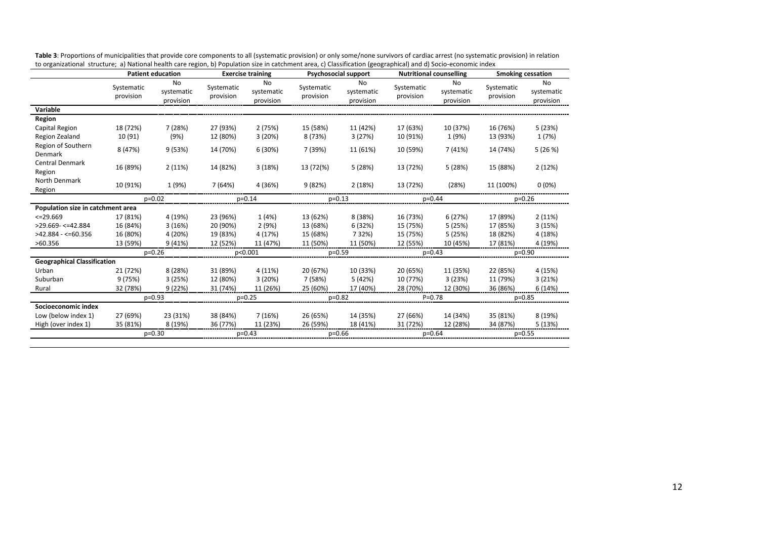|                                    | <b>Patient education</b> |                               | <b>Exercise training</b> |                               | <b>Psychosocial support</b> |                               | <b>Nutritional counselling</b> |                                      | <b>Smoking cessation</b> |                                      |
|------------------------------------|--------------------------|-------------------------------|--------------------------|-------------------------------|-----------------------------|-------------------------------|--------------------------------|--------------------------------------|--------------------------|--------------------------------------|
|                                    | Systematic<br>provision  | No<br>systematic<br>provision | Systematic<br>provision  | No<br>systematic<br>provision | Systematic<br>provision     | No<br>systematic<br>provision | Systematic<br>provision        | <b>No</b><br>systematic<br>provision | Systematic<br>provision  | <b>No</b><br>systematic<br>provision |
| Variable                           |                          |                               |                          |                               |                             |                               |                                |                                      |                          |                                      |
| Region                             |                          |                               |                          |                               |                             |                               |                                |                                      |                          |                                      |
| Capital Region                     | 18 (72%)                 | 7(28%)                        | 27 (93%)                 | 2(75%)                        | 15 (58%)                    | 11 (42%)                      | 17 (63%)                       | 10 (37%)                             | 16 (76%)                 | 5(23%)                               |
| Region Zealand                     | 10 (91)                  | (9%)                          | 12 (80%)                 | 3(20%)                        | 8 (73%)                     | 3(27%)                        | 10 (91%)                       | 1 (9%)                               | 13 (93%)                 | 1(7%)                                |
| Region of Southern<br>Denmark      | 8 (47%)                  | 9(53%)                        | 14 (70%)                 | 6 (30%)                       | 7 (39%)                     | 11 (61%)                      | 10 (59%)                       | 7(41%)                               | 14 (74%)                 | 5(26%)                               |
| <b>Central Denmark</b><br>Region   | 16 (89%)                 | 2(11%)                        | 14 (82%)                 | 3(18%)                        | 13 (72(%)                   | 5(28%)                        | 13 (72%)                       | 5(28%)                               | 15 (88%)                 | 2(12%)                               |
| North Denmark<br>Region            | 10 (91%)                 | 1 (9%)                        | 7 (64%)                  | 4 (36%)                       | 9 (82%)                     | 2(18%)                        | 13 (72%)                       | (28%)                                | 11 (100%)                | $0(0\%)$                             |
|                                    | $p=0.02$                 |                               | $p=0.14$                 |                               | $p=0.13$                    |                               | $p=0.44$                       |                                      | $p=0.26$                 |                                      |
| Population size in catchment area  |                          |                               |                          |                               |                             |                               |                                |                                      |                          |                                      |
| $<=29.669$                         | 17 (81%)                 | 4 (19%)                       | 23 (96%)                 | 1(4%)                         | 13 (62%)                    | 8 (38%)                       | 16 (73%)                       | 6 (27%)                              | 17 (89%)                 | 2(11%)                               |
| $>29.669 - < = 42.884$             | 16 (84%)                 | 3(16%)                        | 20 (90%)                 | 2(9%)                         | 13 (68%)                    | 6 (32%)                       | 15 (75%)                       | 5(25%)                               | 17 (85%)                 | 3(15%)                               |
| $>42.884 - 50.356$                 | 16 (80%)                 | 4 (20%)                       | 19 (83%)                 | 4 (17%)                       | 15 (68%)                    | 7 3 2%)                       | 15 (75%)                       | 5(25%)                               | 18 (82%)                 | 4 (18%)                              |
| >60.356                            | 13 (59%)                 | 9 (41%)                       | 12 (52%)                 | 11 (47%)                      | 11 (50%)                    | 11 (50%)                      | 12 (55%)                       | 10 (45%)                             | 17 (81%)                 | 4 (19%)                              |
|                                    | $p=0.26$                 |                               | p<0.001                  |                               | $p=0.59$                    |                               | $p=0.43$                       |                                      | $p=0.90$                 |                                      |
| <b>Geographical Classification</b> |                          |                               |                          |                               |                             |                               |                                |                                      |                          |                                      |
| Urban                              | 21 (72%)                 | 8 (28%)                       | 31 (89%)                 | 4 (11%)                       | 20 (67%)                    | 10 (33%)                      | 20 (65%)                       | 11 (35%)                             | 22 (85%)                 | 4 (15%)                              |
| Suburban                           | 9(75%)                   | 3(25%)                        | 12 (80%)                 | 3(20%)                        | 7 (58%)                     | 5 (42%)                       | 10 (77%)                       | 3(23%)                               | 11 (79%)                 | 3(21%)                               |
| Rural                              | 32 (78%)                 | 9(22%)                        | 31 (74%)                 | 11 (26%)                      | 25 (60%)                    | 17 (40%)                      | 28 (70%)                       | 12 (30%)                             | 36 (86%)                 | 6 (14%)                              |
|                                    | $p=0.93$                 |                               | $p=0.25$                 |                               | $p=0.82$                    |                               | $P = 0.78$                     |                                      | $p=0.85$                 |                                      |
| Socioeconomic index                |                          |                               |                          |                               |                             |                               |                                |                                      |                          |                                      |
| Low (below index 1)                | 27 (69%)                 | 23 (31%)                      | 38 (84%)                 | 7(16%)                        | 26 (65%)                    | 14 (35%)                      | 27 (66%)                       | 14 (34%)                             | 35 (81%)                 | 8 (19%)                              |
| High (over index 1)                | 35 (81%)                 | 8 (19%)                       | 36 (77%)                 | 11 (23%)                      | 26 (59%)                    | 18 (41%)                      | 31 (72%)                       | 12 (28%)                             | 34 (87%)                 | 5(13%)                               |
|                                    |                          | $p=0.30$                      | $p=0.43$                 |                               | $p=0.66$                    |                               | $p=0.64$                       |                                      | $p=0.55$                 |                                      |

Table 3: Proportions of municipalities that provide core components to all (systematic provision) or only some/none survivors of cardiac arrest (no systematic provision) in relation to organizational structure; a) National health care region, b) Population size in catchment area, c) Classification (geographical) and d) Socio-economic index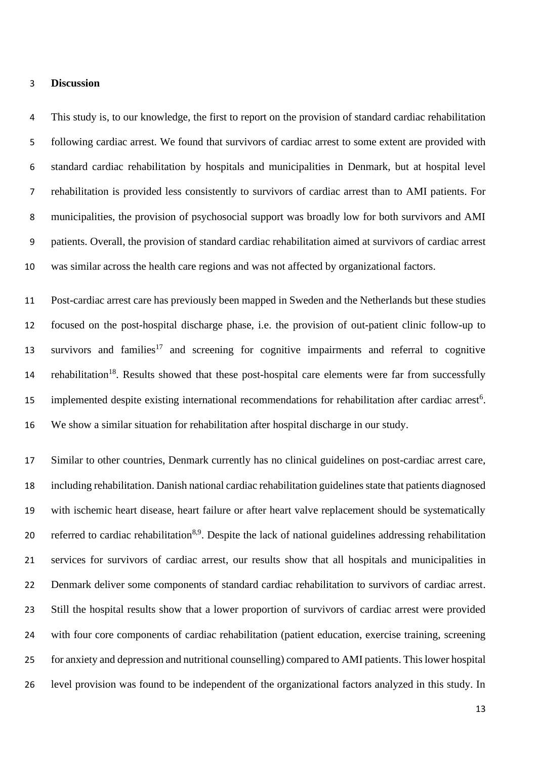#### **Discussion**

 This study is, to our knowledge, the first to report on the provision of standard cardiac rehabilitation following cardiac arrest. We found that survivors of cardiac arrest to some extent are provided with standard cardiac rehabilitation by hospitals and municipalities in Denmark, but at hospital level rehabilitation is provided less consistently to survivors of cardiac arrest than to AMI patients. For municipalities, the provision of psychosocial support was broadly low for both survivors and AMI patients. Overall, the provision of standard cardiac rehabilitation aimed at survivors of cardiac arrest was similar across the health care regions and was not affected by organizational factors.

 Post-cardiac arrest care has previously been mapped in Sweden and the Netherlands but these studies focused on the post-hospital discharge phase, i.e. the provision of out-patient clinic follow-up to survivors and families<sup>17</sup> and screening for cognitive impairments and referral to cognitive 14 rehabilitation<sup>18</sup>. Results showed that these post-hospital care elements were far from successfully 15 implemented despite existing international recommendations for rehabilitation after cardiac arrest<sup>6</sup>. We show a similar situation for rehabilitation after hospital discharge in our study.

 Similar to other countries, Denmark currently has no clinical guidelines on post-cardiac arrest care, including rehabilitation. Danish national cardiac rehabilitation guidelines state that patients diagnosed with ischemic heart disease, heart failure or after heart valve replacement should be systematically 20 referred to cardiac rehabilitation<sup>8,9</sup>. Despite the lack of national guidelines addressing rehabilitation services for survivors of cardiac arrest, our results show that all hospitals and municipalities in Denmark deliver some components of standard cardiac rehabilitation to survivors of cardiac arrest. Still the hospital results show that a lower proportion of survivors of cardiac arrest were provided with four core components of cardiac rehabilitation (patient education, exercise training, screening for anxiety and depression and nutritional counselling) compared to AMI patients. This lower hospital level provision was found to be independent of the organizational factors analyzed in this study. In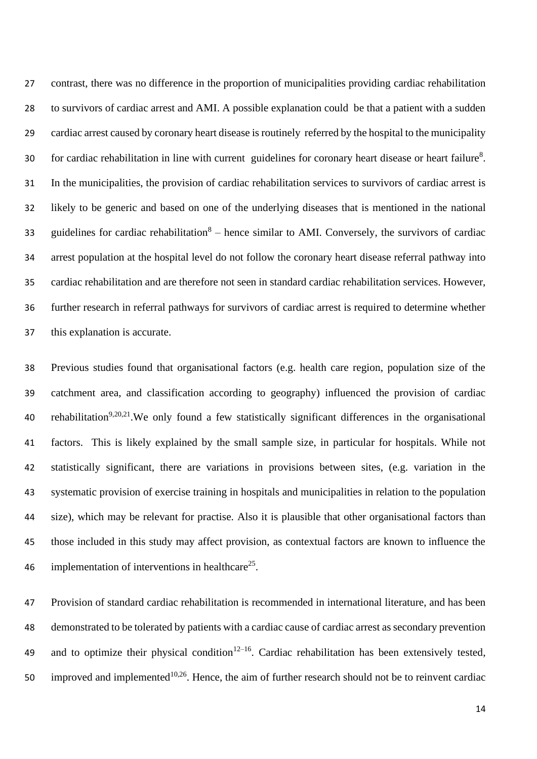contrast, there was no difference in the proportion of municipalities providing cardiac rehabilitation to survivors of cardiac arrest and AMI. A possible explanation could be that a patient with a sudden cardiac arrest caused by coronary heart disease is routinely referred by the hospital to the municipality 30 for cardiac rehabilitation in line with current guidelines for coronary heart disease or heart failure<sup>8</sup>. In the municipalities, the provision of cardiac rehabilitation services to survivors of cardiac arrest is likely to be generic and based on one of the underlying diseases that is mentioned in the national 33 guidelines for cardiac rehabilitation – hence similar to AMI. Conversely, the survivors of cardiac arrest population at the hospital level do not follow the coronary heart disease referral pathway into cardiac rehabilitation and are therefore not seen in standard cardiac rehabilitation services. However, further research in referral pathways for survivors of cardiac arrest is required to determine whether this explanation is accurate.

 Previous studies found that organisational factors (e.g. health care region, population size of the catchment area, and classification according to geography) influenced the provision of cardiac 40 rehabilitation<sup>9,20,21</sup>. We only found a few statistically significant differences in the organisational factors. This is likely explained by the small sample size, in particular for hospitals. While not statistically significant, there are variations in provisions between sites, (e.g. variation in the systematic provision of exercise training in hospitals and municipalities in relation to the population size), which may be relevant for practise. Also it is plausible that other organisational factors than those included in this study may affect provision, as contextual factors are known to influence the 46 implementation of interventions in healthcare<sup>25</sup>.

 Provision of standard cardiac rehabilitation is recommended in international literature, and has been demonstrated to be tolerated by patients with a cardiac cause of cardiac arrest as secondary prevention 49 and to optimize their physical condition<sup>12–16</sup>. Cardiac rehabilitation has been extensively tested, 50 improved and implemented<sup>10,26</sup>. Hence, the aim of further research should not be to reinvent cardiac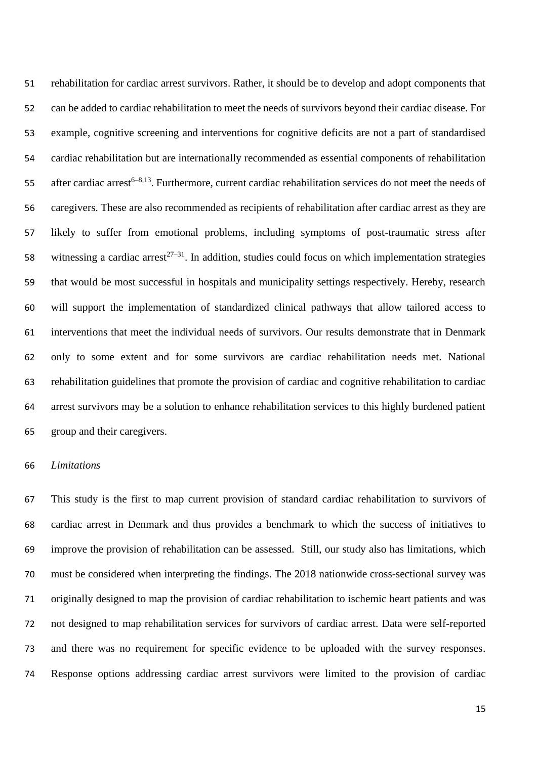rehabilitation for cardiac arrest survivors. Rather, it should be to develop and adopt components that can be added to cardiac rehabilitation to meet the needs of survivors beyond their cardiac disease. For example, cognitive screening and interventions for cognitive deficits are not a part of standardised cardiac rehabilitation but are internationally recommended as essential components of rehabilitation 55 after cardiac arrest<sup>6–8,13</sup>. Furthermore, current cardiac rehabilitation services do not meet the needs of caregivers. These are also recommended as recipients of rehabilitation after cardiac arrest as they are likely to suffer from emotional problems, including symptoms of post-traumatic stress after 58 witnessing a cardiac arrest<sup>27–31</sup>. In addition, studies could focus on which implementation strategies that would be most successful in hospitals and municipality settings respectively. Hereby, research will support the implementation of standardized clinical pathways that allow tailored access to interventions that meet the individual needs of survivors. Our results demonstrate that in Denmark only to some extent and for some survivors are cardiac rehabilitation needs met. National rehabilitation guidelines that promote the provision of cardiac and cognitive rehabilitation to cardiac arrest survivors may be a solution to enhance rehabilitation services to this highly burdened patient group and their caregivers.

#### *Limitations*

 This study is the first to map current provision of standard cardiac rehabilitation to survivors of cardiac arrest in Denmark and thus provides a benchmark to which the success of initiatives to improve the provision of rehabilitation can be assessed. Still, our study also has limitations, which must be considered when interpreting the findings. The 2018 nationwide cross-sectional survey was originally designed to map the provision of cardiac rehabilitation to ischemic heart patients and was not designed to map rehabilitation services for survivors of cardiac arrest. Data were self-reported and there was no requirement for specific evidence to be uploaded with the survey responses. Response options addressing cardiac arrest survivors were limited to the provision of cardiac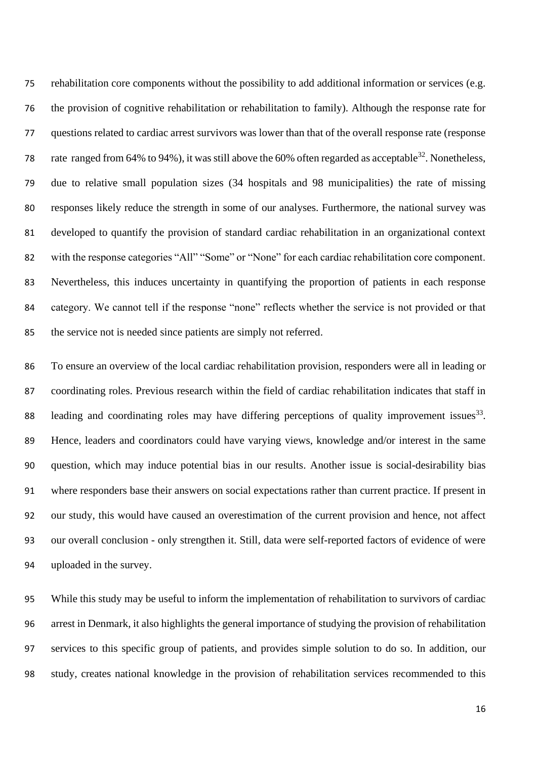rehabilitation core components without the possibility to add additional information or services (e.g. the provision of cognitive rehabilitation or rehabilitation to family). Although the response rate for questions related to cardiac arrest survivors was lower than that of the overall response rate (response 78 rate ranged from 64% to 94%), it was still above the 60% often regarded as acceptable<sup>32</sup>. Nonetheless, due to relative small population sizes (34 hospitals and 98 municipalities) the rate of missing responses likely reduce the strength in some of our analyses. Furthermore, the national survey was developed to quantify the provision of standard cardiac rehabilitation in an organizational context with the response categories "All" "Some" or "None" for each cardiac rehabilitation core component. Nevertheless, this induces uncertainty in quantifying the proportion of patients in each response category. We cannot tell if the response "none" reflects whether the service is not provided or that the service not is needed since patients are simply not referred.

 To ensure an overview of the local cardiac rehabilitation provision, responders were all in leading or coordinating roles. Previous research within the field of cardiac rehabilitation indicates that staff in 88 leading and coordinating roles may have differing perceptions of quality improvement issues . Hence, leaders and coordinators could have varying views, knowledge and/or interest in the same question, which may induce potential bias in our results. Another issue is social-desirability bias where responders base their answers on social expectations rather than current practice. If present in our study, this would have caused an overestimation of the current provision and hence, not affect our overall conclusion - only strengthen it. Still, data were self-reported factors of evidence of were uploaded in the survey.

 While this study may be useful to inform the implementation of rehabilitation to survivors of cardiac arrest in Denmark, it also highlights the general importance of studying the provision of rehabilitation services to this specific group of patients, and provides simple solution to do so. In addition, our study, creates national knowledge in the provision of rehabilitation services recommended to this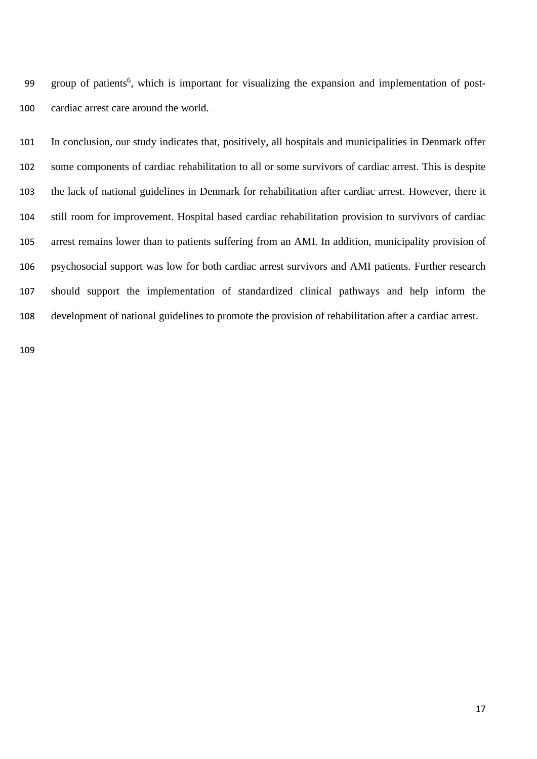99 group of patients<sup>6</sup>, which is important for visualizing the expansion and implementation of post-cardiac arrest care around the world.

 In conclusion, our study indicates that, positively, all hospitals and municipalities in Denmark offer some components of cardiac rehabilitation to all or some survivors of cardiac arrest. This is despite the lack of national guidelines in Denmark for rehabilitation after cardiac arrest. However, there it still room for improvement. Hospital based cardiac rehabilitation provision to survivors of cardiac arrest remains lower than to patients suffering from an AMI. In addition, municipality provision of psychosocial support was low for both cardiac arrest survivors and AMI patients. Further research should support the implementation of standardized clinical pathways and help inform the development of national guidelines to promote the provision of rehabilitation after a cardiac arrest.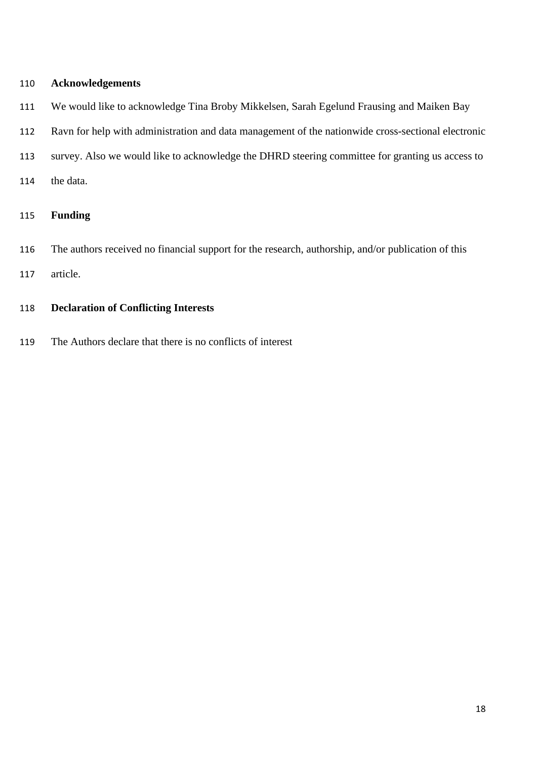## **Acknowledgements**

- We would like to acknowledge Tina Broby Mikkelsen, Sarah Egelund Frausing and Maiken Bay
- Ravn for help with administration and data management of the nationwide cross-sectional electronic
- survey. Also we would like to acknowledge the DHRD steering committee for granting us access to
- the data.

## **Funding**

- The authors received no financial support for the research, authorship, and/or publication of this
- article.
- **Declaration of Conflicting Interests**
- The Authors declare that there is no conflicts of interest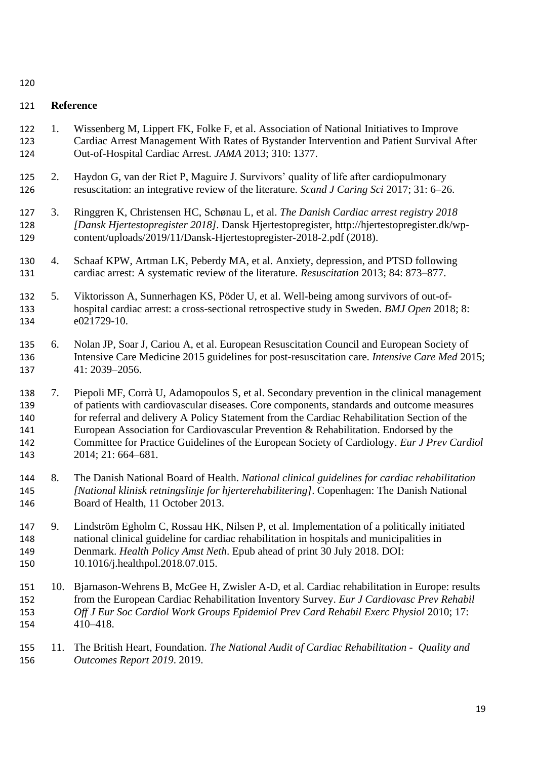## **Reference**

- 1. Wissenberg M, Lippert FK, Folke F, et al. Association of National Initiatives to Improve Cardiac Arrest Management With Rates of Bystander Intervention and Patient Survival After Out-of-Hospital Cardiac Arrest. *JAMA* 2013; 310: 1377.
- 2. Haydon G, van der Riet P, Maguire J. Survivors' quality of life after cardiopulmonary resuscitation: an integrative review of the literature. *Scand J Caring Sci* 2017; 31: 6–26.
- 3. Ringgren K, Christensen HC, Schønau L, et al. *The Danish Cardiac arrest registry 2018 [Dansk Hjertestopregister 2018]*. Dansk Hjertestopregister, http://hjertestopregister.dk/wp-content/uploads/2019/11/Dansk-Hjertestopregister-2018-2.pdf (2018).
- 4. Schaaf KPW, Artman LK, Peberdy MA, et al. Anxiety, depression, and PTSD following cardiac arrest: A systematic review of the literature. *Resuscitation* 2013; 84: 873–877.
- 5. Viktorisson A, Sunnerhagen KS, Pöder U, et al. Well-being among survivors of out-of- hospital cardiac arrest: a cross-sectional retrospective study in Sweden. *BMJ Open* 2018; 8: e021729-10.
- 6. Nolan JP, Soar J, Cariou A, et al. European Resuscitation Council and European Society of Intensive Care Medicine 2015 guidelines for post-resuscitation care. *Intensive Care Med* 2015; 41: 2039–2056.
- 7. Piepoli MF, Corrà U, Adamopoulos S, et al. Secondary prevention in the clinical management of patients with cardiovascular diseases. Core components, standards and outcome measures for referral and delivery A Policy Statement from the Cardiac Rehabilitation Section of the European Association for Cardiovascular Prevention & Rehabilitation. Endorsed by the Committee for Practice Guidelines of the European Society of Cardiology. *Eur J Prev Cardiol* 2014; 21: 664–681.
- 8. The Danish National Board of Health. *National clinical guidelines for cardiac rehabilitation [National klinisk retningslinje for hjerterehabilitering]*. Copenhagen: The Danish National Board of Health, 11 October 2013.
- 9. Lindström Egholm C, Rossau HK, Nilsen P, et al. Implementation of a politically initiated national clinical guideline for cardiac rehabilitation in hospitals and municipalities in Denmark. *Health Policy Amst Neth*. Epub ahead of print 30 July 2018. DOI: 10.1016/j.healthpol.2018.07.015.
- 10. Bjarnason-Wehrens B, McGee H, Zwisler A-D, et al. Cardiac rehabilitation in Europe: results from the European Cardiac Rehabilitation Inventory Survey. *Eur J Cardiovasc Prev Rehabil*  153 Off J Eur Soc Cardiol Work Groups Epidemiol Prev Card Rehabil Exerc Physiol 2010; 17: 410–418.
- 11. The British Heart, Foundation. *The National Audit of Cardiac Rehabilitation Quality and Outcomes Report 2019*. 2019.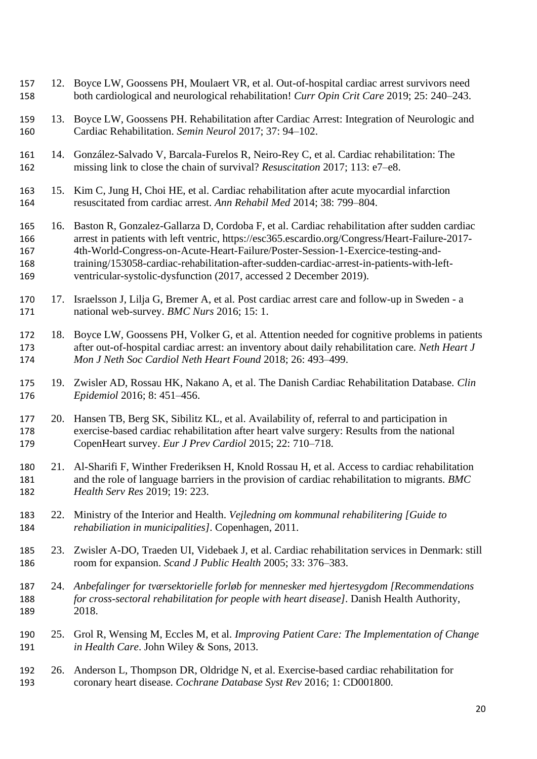12. Boyce LW, Goossens PH, Moulaert VR, et al. Out-of-hospital cardiac arrest survivors need both cardiological and neurological rehabilitation! *Curr Opin Crit Care* 2019; 25: 240–243. 13. Boyce LW, Goossens PH. Rehabilitation after Cardiac Arrest: Integration of Neurologic and Cardiac Rehabilitation. *Semin Neurol* 2017; 37: 94–102. 14. González-Salvado V, Barcala-Furelos R, Neiro-Rey C, et al. Cardiac rehabilitation: The missing link to close the chain of survival? *Resuscitation* 2017; 113: e7–e8. 15. Kim C, Jung H, Choi HE, et al. Cardiac rehabilitation after acute myocardial infarction resuscitated from cardiac arrest. *Ann Rehabil Med* 2014; 38: 799–804. 16. Baston R, Gonzalez-Gallarza D, Cordoba F, et al. Cardiac rehabilitation after sudden cardiac arrest in patients with left ventric, https://esc365.escardio.org/Congress/Heart-Failure-2017- 4th-World-Congress-on-Acute-Heart-Failure/Poster-Session-1-Exercice-testing-and- training/153058-cardiac-rehabilitation-after-sudden-cardiac-arrest-in-patients-with-left- ventricular-systolic-dysfunction (2017, accessed 2 December 2019). 17. Israelsson J, Lilja G, Bremer A, et al. Post cardiac arrest care and follow-up in Sweden - a national web-survey. *BMC Nurs* 2016; 15: 1. 18. Boyce LW, Goossens PH, Volker G, et al. Attention needed for cognitive problems in patients after out-of-hospital cardiac arrest: an inventory about daily rehabilitation care. *Neth Heart J Mon J Neth Soc Cardiol Neth Heart Found* 2018; 26: 493–499. 19. Zwisler AD, Rossau HK, Nakano A, et al. The Danish Cardiac Rehabilitation Database. *Clin Epidemiol* 2016; 8: 451–456. 20. Hansen TB, Berg SK, Sibilitz KL, et al. Availability of, referral to and participation in exercise-based cardiac rehabilitation after heart valve surgery: Results from the national CopenHeart survey. *Eur J Prev Cardiol* 2015; 22: 710–718. 21. Al-Sharifi F, Winther Frederiksen H, Knold Rossau H, et al. Access to cardiac rehabilitation and the role of language barriers in the provision of cardiac rehabilitation to migrants. *BMC Health Serv Res* 2019; 19: 223. 22. Ministry of the Interior and Health. *Vejledning om kommunal rehabilitering [Guide to rehabiliation in municipalities]*. Copenhagen, 2011. 23. Zwisler A-DO, Traeden UI, Videbaek J, et al. Cardiac rehabilitation services in Denmark: still room for expansion. *Scand J Public Health* 2005; 33: 376–383. 24. *Anbefalinger for tværsektorielle forløb for mennesker med hjertesygdom [Recommendations for cross-sectoral rehabilitation for people with heart disease]*. Danish Health Authority, 2018. 25. Grol R, Wensing M, Eccles M, et al. *Improving Patient Care: The Implementation of Change in Health Care*. John Wiley & Sons, 2013. 26. Anderson L, Thompson DR, Oldridge N, et al. Exercise-based cardiac rehabilitation for coronary heart disease. *Cochrane Database Syst Rev* 2016; 1: CD001800.